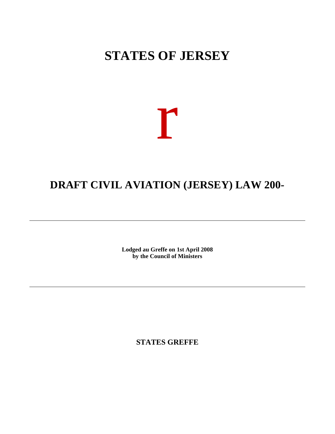# **STATES OF JERSEY**

# r

## **DRAFT CIVIL AVIATION (JERSEY) LAW 200-**

**Lodged au Greffe on 1st April 2008 by the Council of Ministers**

**STATES GREFFE**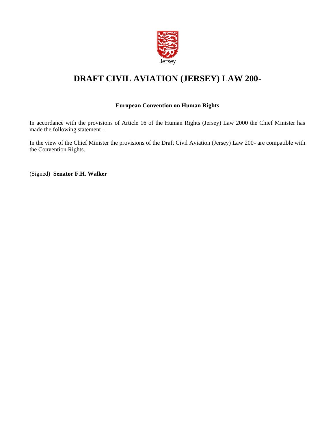

## **DRAFT CIVIL AVIATION (JERSEY) LAW 200-**

#### **European Convention on Human Rights**

In accordance with the provisions of Article 16 of the Human Rights (Jersey) Law 2000 the Chief Minister has made the following statement –

In the view of the Chief Minister the provisions of the Draft Civil Aviation (Jersey) Law 200- are compatible with the Convention Rights.

(Signed) **Senator F.H. Walker**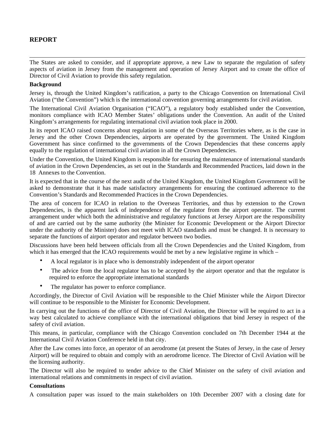#### **REPORT**

The States are asked to consider, and if appropriate approve, a new Law to separate the regulation of safety aspects of aviation in Jersey from the management and operation of Jersey Airport and to create the office of Director of Civil Aviation to provide this safety regulation.

#### **Background**

Jersey is, through the United Kingdom's ratification, a party to the Chicago Convention on International Civil Aviation ("the Convention") which is the international convention governing arrangements for civil aviation.

The International Civil Aviation Organisation ("ICAO"), a regulatory body established under the Convention, monitors compliance with ICAO Member States' obligations under the Convention. An audit of the United Kingdom's arrangements for regulating international civil aviation took place in 2000.

In its report ICAO raised concerns about regulation in some of the Overseas Territories where, as is the case in Jersey and the other Crown Dependencies, airports are operated by the government. The United Kingdom Government has since confirmed to the governments of the Crown Dependencies that these concerns apply equally to the regulation of international civil aviation in all the Crown Dependencies.

Under the Convention, the United Kingdom is responsible for ensuring the maintenance of international standards of aviation in the Crown Dependencies, as set out in the Standards and Recommended Practices, laid down in the 18 Annexes to the Convention.

It is expected that in the course of the next audit of the United Kingdom, the United Kingdom Government will be asked to demonstrate that it has made satisfactory arrangements for ensuring the continued adherence to the Convention's Standards and Recommended Practices in the Crown Dependencies.

The area of concern for ICAO in relation to the Overseas Territories, and thus by extension to the Crown Dependencies, is the apparent lack of independence of the regulator from the airport operator. The current arrangement under which both the administrative and regulatory functions at Jersey Airport are the responsibility of and are carried out by the same authority (the Minister for Economic Development or the Airport Director under the authority of the Minister) does not meet with ICAO standards and must be changed. It is necessary to separate the functions of airport operator and regulator between two bodies.

Discussions have been held between officials from all the Crown Dependencies and the United Kingdom, from which it has emerged that the ICAO requirements would be met by a new legislative regime in which –

- A local regulator is in place who is demonstrably independent of the airport operator
- The advice from the local regulator has to be accepted by the airport operator and that the regulator is required to enforce the appropriate international standards
- The regulator has power to enforce compliance.

Accordingly, the Director of Civil Aviation will be responsible to the Chief Minister while the Airport Director will continue to be responsible to the Minister for Economic Development.

In carrying out the functions of the office of Director of Civil Aviation, the Director will be required to act in a way best calculated to achieve compliance with the international obligations that bind Jersey in respect of the safety of civil aviation.

This means, in particular, compliance with the Chicago Convention concluded on 7th December 1944 at the International Civil Aviation Conference held in that city.

After the Law comes into force, an operator of an aerodrome (at present the States of Jersey, in the case of Jersey Airport) will be required to obtain and comply with an aerodrome licence. The Director of Civil Aviation will be the licensing authority.

The Director will also be required to tender advice to the Chief Minister on the safety of civil aviation and international relations and commitments in respect of civil aviation.

#### **Consultations**

A consultation paper was issued to the main stakeholders on 10th December 2007 with a closing date for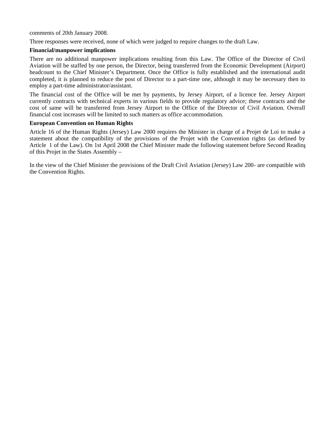comments of 20th January 2008.

Three responses were received, none of which were judged to require changes to the draft Law.

#### **Financial/manpower implications**

There are no additional manpower implications resulting from this Law. The Office of the Director of Civil Aviation will be staffed by one person, the Director, being transferred from the Economic Development (Airport) headcount to the Chief Minister's Department. Once the Office is fully established and the international audit completed, it is planned to reduce the post of Director to a part-time one, although it may be necessary then to employ a part-time administrator/assistant.

The financial cost of the Office will be met by payments, by Jersey Airport, of a licence fee. Jersey Airport currently contracts with technical experts in various fields to provide regulatory advice; these contracts and the cost of same will be transferred from Jersey Airport to the Office of the Director of Civil Aviation. Overall financial cost increases will be limited to such matters as office accommodation.

#### **European Convention on Human Rights**

Article 16 of the Human Rights (Jersey) Law 2000 requires the Minister in charge of a Projet de Loi to make a statement about the compatibility of the provisions of the Projet with the Convention rights (as defined by Article 1 of the Law). On 1st April 2008 the Chief Minister made the following statement before Second Reading of this Projet in the States Assembly –

In the view of the Chief Minister the provisions of the Draft Civil Aviation (Jersey) Law 200- are compatible with the Convention Rights.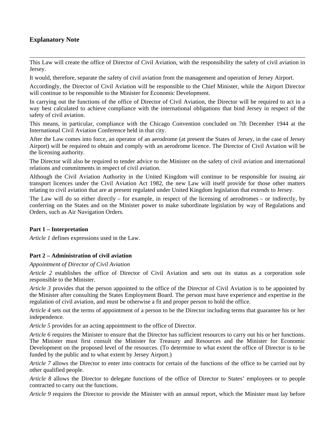#### **Explanatory Note**

This Law will create the office of Director of Civil Aviation, with the responsibility the safety of civil aviation in Jersey.

It would, therefore, separate the safety of civil aviation from the management and operation of Jersey Airport.

Accordingly, the Director of Civil Aviation will be responsible to the Chief Minister, while the Airport Director will continue to be responsible to the Minister for Economic Development.

In carrying out the functions of the office of Director of Civil Aviation, the Director will be required to act in a way best calculated to achieve compliance with the international obligations that bind Jersey in respect of the safety of civil aviation.

This means, in particular, compliance with the Chicago Convention concluded on 7th December 1944 at the International Civil Aviation Conference held in that city.

After the Law comes into force, an operator of an aerodrome (at present the States of Jersey, in the case of Jersey Airport) will be required to obtain and comply with an aerodrome licence. The Director of Civil Aviation will be the licensing authority.

The Director will also be required to tender advice to the Minister on the safety of civil aviation and international relations and commitments in respect of civil aviation.

Although the Civil Aviation Authority in the United Kingdom will continue to be responsible for issuing air transport licences under the Civil Aviation Act 1982, the new Law will itself provide for those other matters relating to civil aviation that are at present regulated under United Kingdom legislation that extends to Jersey.

The Law will do so either directly – for example, in respect of the licensing of aerodromes – or indirectly, by conferring on the States and on the Minister power to make subordinate legislation by way of Regulations and Orders, such as Air Navigation Orders.

#### **Part 1 – Interpretation**

*Article 1* defines expressions used in the Law.

#### **Part 2 – Administration of civil aviation**

#### *Appointment of Director of Civil Aviation*

*Article 2* establishes the office of Director of Civil Aviation and sets out its status as a corporation sole responsible to the Minister.

*Article 3* provides that the person appointed to the office of the Director of Civil Aviation is to be appointed by the Minister after consulting the States Employment Board. The person must have experience and expertise in the regulation of civil aviation, and must be otherwise a fit and proper person to hold the office.

*Article 4* sets out the terms of appointment of a person to be the Director including terms that guarantee his or her independence.

*Article 5* provides for an acting appointment to the office of Director.

*Article 6* requires the Minister to ensure that the Director has sufficient resources to carry out his or her functions. The Minister must first consult the Minister for Treasury and Resources and the Minister for Economic Development on the proposed level of the resources. (To determine to what extent the office of Director is to be funded by the public and to what extent by Jersey Airport.)

*Article 7* allows the Director to enter into contracts for certain of the functions of the office to be carried out by other qualified people.

*Article 8* allows the Director to delegate functions of the office of Director to States' employees or to people contracted to carry out the functions.

*Article 9* requires the Director to provide the Minister with an annual report, which the Minister must lay before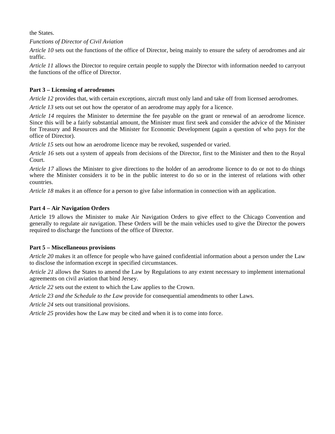the States.

*Functions of Director of Civil Aviation*

*Article 10* sets out the functions of the office of Director, being mainly to ensure the safety of aerodromes and air traffic.

*Article 11* allows the Director to require certain people to supply the Director with information needed to carryout the functions of the office of Director.

#### **Part 3 – Licensing of aerodromes**

*Article 12* provides that, with certain exceptions, aircraft must only land and take off from licensed aerodromes.

*Article 13* sets out set out how the operator of an aerodrome may apply for a licence.

*Article 14* requires the Minister to determine the fee payable on the grant or renewal of an aerodrome licence. Since this will be a fairly substantial amount, the Minister must first seek and consider the advice of the Minister for Treasury and Resources and the Minister for Economic Development (again a question of who pays for the office of Director).

*Article 15* sets out how an aerodrome licence may be revoked, suspended or varied.

*Article 16* sets out a system of appeals from decisions of the Director, first to the Minister and then to the Royal Court.

*Article 17* allows the Minister to give directions to the holder of an aerodrome licence to do or not to do things where the Minister considers it to be in the public interest to do so or in the interest of relations with other countries.

*Article 18* makes it an offence for a person to give false information in connection with an application.

#### **Part 4 – Air Navigation Orders**

Article 19 allows the Minister to make Air Navigation Orders to give effect to the Chicago Convention and generally to regulate air navigation. These Orders will be the main vehicles used to give the Director the powers required to discharge the functions of the office of Director.

#### **Part 5 – Miscellaneous provisions**

*Article 20* makes it an offence for people who have gained confidential information about a person under the Law to disclose the information except in specified circumstances.

*Article 21* allows the States to amend the Law by Regulations to any extent necessary to implement international agreements on civil aviation that bind Jersey.

*Article 22* sets out the extent to which the Law applies to the Crown.

*Article 23 and the Schedule to the Law* provide for consequential amendments to other Laws.

*Article 24* sets out transitional provisions.

*Article 25* provides how the Law may be cited and when it is to come into force.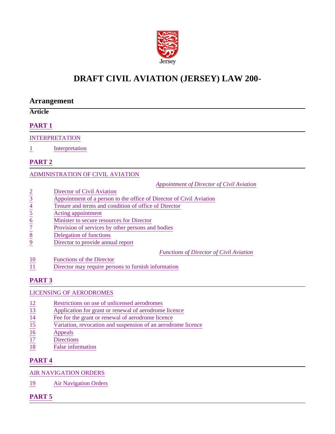

## **DRAFT CIVIL AVIATION (JERSEY) LAW 200-**

#### **Arrangement**

#### **Article**

#### **PART 1**

#### INTERPRETATION

1 Interpretation

#### **PART 2**

#### ADMINISTRATION OF CIVIL AVIATION

*Appointment of Director of Civil Aviation*

- 
- Appointment of a person to the office of Director of Civil Aviation
- Tenure and terms and condition of office of Director
- 5 Acting appointment
- Minister to secure resources for Director
- $rac{2}{3}$ <br>  $rac{2}{4}$ <br>  $rac{4}{5}$ <br>  $rac{4}{1}$ <br>  $rac{7}{2}$ <br>  $rac{7}{2}$ <br>  $rac{7}{2}$ <br>  $rac{7}{2}$ <br>  $rac{7}{2}$ <br>  $rac{7}{2}$ <br>  $rac{7}{2}$ <br>  $rac{7}{2}$ <br>  $rac{7}{2}$ <br>  $rac{7}{2}$ <br>  $rac{7}{2}$ <br>  $rac{7}{2}$ <br>  $rac{7}{2}$ <br>  $rac{7}{2}$ <br>  $rac{7}{2}$ <br>  $rac{7}{2}$ <br>  $rac{7}{2}$ <br>  $rac{7}{2}$ <br> Provision of services by other persons and bodies
- **Delegation of functions**
- Director to provide annual report

*Functions of Director of Civil Aviation*

- 10 Functions of the Director
- 11 Director may require persons to furnish information

#### **PART 3**

#### LICENSING OF AERODROMES

- 
- $\frac{12}{13}$  Restrictions on use of unlicensed aerodromes<br>
Application for grant or renewal of aerodrome lice<br>  $\frac{14}{15}$  Rese for the grant or renewal of aerodrome lice<br>
Variation, revocation and suspension of an aerodro Application for grant or renewal of aerodrome licence
- Fee for the grant or renewal of aerodrome licence
- Variation, revocation and suspension of an aerodrome licence
- $\frac{16}{17}$  Appeals<br>Direction
- **Directions**
- 18 False information

#### **PART 4**

#### AIR NAVIGATION ORDERS

19 Air Navigation Orders

#### **PART 5**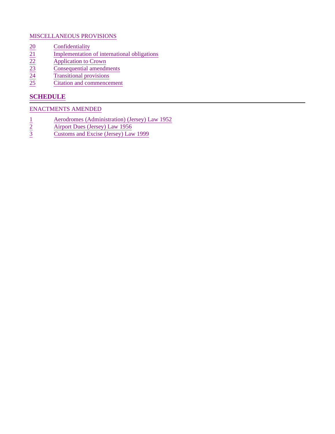#### MISCELLANEOUS PROVISIONS

- 
- Implementation of international obligations
- Application to Crown
- $\frac{20}{21}$   $\frac{1}{22}$   $\frac{1}{23}$   $\frac{1}{24}$   $\frac{1}{25}$   $\frac{1}{25}$   $\frac{1}{25}$   $\frac{1}{25}$   $\frac{1}{25}$   $\frac{1}{25}$   $\frac{1}{25}$   $\frac{1}{25}$   $\frac{1}{25}$   $\frac{1}{25}$   $\frac{1}{25}$   $\frac{1}{25}$   $\frac{1}{25}$   $\frac{1}{25}$   $\frac{1}{25}$   $\frac{1}{25}$  Consequential amendments
- Transitional provisions
- Citation and commencement

#### **SCHEDULE**

#### ENACTMENTS AMENDED

- $\frac{1}{2}$  Aerodromes (Administration) (Jersey) Law 1952<br> $\frac{\text{Airport Dues (Jersey) Law 1956}}{\text{Customs and Excise (Jersey) Law 1999}}$
- Airport Dues (Jersey) Law 1956
- 3 Customs and Excise (Jersey) Law 1999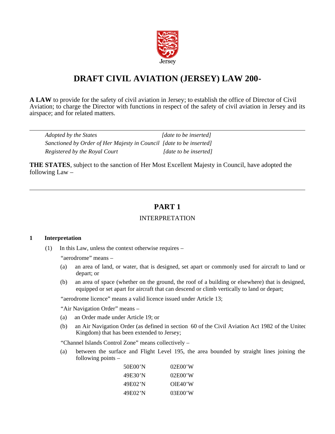

## **DRAFT CIVIL AVIATION (JERSEY) LAW 200-**

**A LAW** to provide for the safety of civil aviation in Jersey; to establish the office of Director of Civil Aviation; to charge the Director with functions in respect of the safety of civil aviation in Jersey and its airspace; and for related matters.

| Adopted by the States                                               | [date to be inserted] |
|---------------------------------------------------------------------|-----------------------|
| Sanctioned by Order of Her Majesty in Council [date to be inserted] |                       |
| Registered by the Royal Court                                       | [date to be inserted] |

**THE STATES**, subject to the sanction of Her Most Excellent Majesty in Council, have adopted the following Law –

#### **PART 1**

#### INTERPRETATION

#### **1 Interpretation**

(1) In this Law, unless the context otherwise requires –

"aerodrome" means –

- (a) an area of land, or water, that is designed, set apart or commonly used for aircraft to land or depart; or
- (b) an area of space (whether on the ground, the roof of a building or elsewhere) that is designed, equipped or set apart for aircraft that can descend or climb vertically to land or depart;

"aerodrome licence" means a valid licence issued under Article 13;

"Air Navigation Order" means –

- (a) an Order made under Article 19; or
- (b) an Air Navigation Order (as defined in section 60 of the Civil Aviation Act 1982 of the United Kingdom) that has been extended to Jersey;

"Channel Islands Control Zone" means collectively –

(a) between the surface and Flight Level 195, the area bounded by straight lines joining the following points –

| 50E00'N | 02E00'W |
|---------|---------|
| 49E30'N | 02E00'W |
| 49E02'N | OEE40'W |
| 49E02'N | 03E00'W |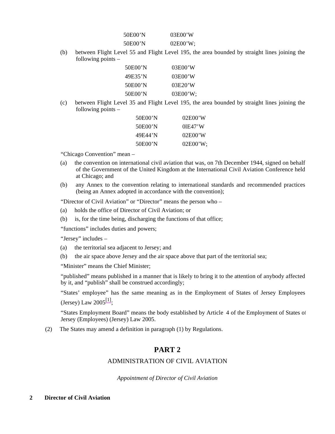| 50E00'N | 03E00'W  |
|---------|----------|
| 50E00'N | 02E00'W; |

(b) between Flight Level 55 and Flight Level 195, the area bounded by straight lines joining the following points –

| 50E00'N | 03E00'W  |
|---------|----------|
| 49E35'N | 03E00'W  |
| 50E00'N | 03E20'W  |
| 50E00'N | 03E00'W: |

(c) between Flight Level 35 and Flight Level 195, the area bounded by straight lines joining the following points –

| 50E00'N | 02E00'W     |
|---------|-------------|
| 50E00'N | $0$ $E47'W$ |
| 49F44'N | 02E00'W     |
| 50E00'N | 02E00'W:    |

"Chicago Convention" mean –

- (a) the convention on international civil aviation that was, on 7th December 1944, signed on behalf of the Government of the United Kingdom at the International Civil Aviation Conference held at Chicago; and
- (b) any Annex to the convention relating to international standards and recommended practices (being an Annex adopted in accordance with the convention);

"Director of Civil Aviation" or "Director" means the person who –

- (a) holds the office of Director of Civil Aviation; or
- (b) is, for the time being, discharging the functions of that office;

"functions" includes duties and powers;

"Jersey" includes –

- (a) the territorial sea adjacent to Jersey; and
- (b) the air space above Jersey and the air space above that part of the territorial sea;

"Minister" means the Chief Minister;

"published" means published in a manner that is likely to bring it to the attention of anybody affected by it, and "publish" shall be construed accordingly;

"States' employee" has the same meaning as in the Employment of States of Jersey Employees (Jersey) Law  $2005^{[1]}$ ;

"States Employment Board" means the body established by Article 4 of the Employment of States of Jersey (Employees) (Jersey) Law 2005.

(2) The States may amend a definition in paragraph (1) by Regulations.

#### **PART 2**

#### ADMINISTRATION OF CIVIL AVIATION

*Appointment of Director of Civil Aviation*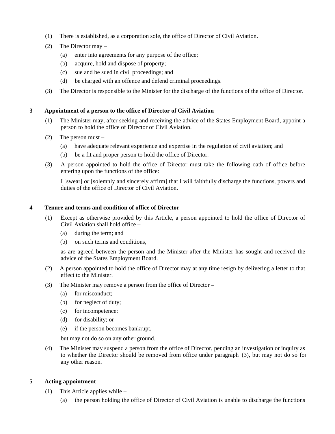- (1) There is established, as a corporation sole, the office of Director of Civil Aviation.
- (2) The Director may
	- (a) enter into agreements for any purpose of the office;
	- (b) acquire, hold and dispose of property;
	- (c) sue and be sued in civil proceedings; and
	- (d) be charged with an offence and defend criminal proceedings.
- (3) The Director is responsible to the Minister for the discharge of the functions of the office of Director.

#### **3 Appointment of a person to the office of Director of Civil Aviation**

- (1) The Minister may, after seeking and receiving the advice of the States Employment Board, appoint a person to hold the office of Director of Civil Aviation.
- (2) The person must
	- (a) have adequate relevant experience and expertise in the regulation of civil aviation; and
	- (b) be a fit and proper person to hold the office of Director.
- (3) A person appointed to hold the office of Director must take the following oath of office before entering upon the functions of the office:

I [swear] *or* [solemnly and sincerely affirm] that I will faithfully discharge the functions, powers and duties of the office of Director of Civil Aviation.

#### **4 Tenure and terms and condition of office of Director**

- (1) Except as otherwise provided by this Article, a person appointed to hold the office of Director of Civil Aviation shall hold office –
	- (a) during the term; and
	- (b) on such terms and conditions,

as are agreed between the person and the Minister after the Minister has sought and received the advice of the States Employment Board.

- (2) A person appointed to hold the office of Director may at any time resign by delivering a letter to that effect to the Minister.
- (3) The Minister may remove a person from the office of Director
	- (a) for misconduct;
	- (b) for neglect of duty;
	- (c) for incompetence;
	- (d) for disability; or
	- (e) if the person becomes bankrupt,

but may not do so on any other ground.

(4) The Minister may suspend a person from the office of Director, pending an investigation or inquiry as to whether the Director should be removed from office under paragraph (3), but may not do so for any other reason.

#### **5 Acting appointment**

- (1) This Article applies while
	- (a) the person holding the office of Director of Civil Aviation is unable to discharge the functions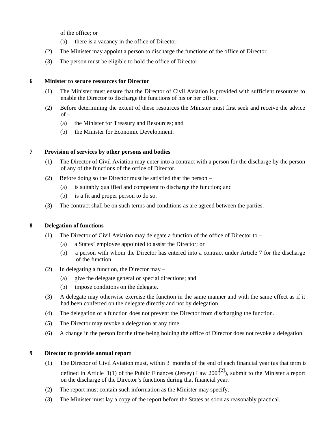of the office; or

- (b) there is a vacancy in the office of Director.
- (2) The Minister may appoint a person to discharge the functions of the office of Director.
- (3) The person must be eligible to hold the office of Director.

#### **6 Minister to secure resources for Director**

- (1) The Minister must ensure that the Director of Civil Aviation is provided with sufficient resources to enable the Director to discharge the functions of his or her office.
- (2) Before determining the extent of these resources the Minister must first seek and receive the advice  $of -$ 
	- (a) the Minister for Treasury and Resources; and
	- (b) the Minister for Economic Development.

#### **7 Provision of services by other persons and bodies**

- (1) The Director of Civil Aviation may enter into a contract with a person for the discharge by the person of any of the functions of the office of Director.
- (2) Before doing so the Director must be satisfied that the person
	- (a) is suitably qualified and competent to discharge the function; and
	- (b) is a fit and proper person to do so.
- (3) The contract shall be on such terms and conditions as are agreed between the parties.

#### **8 Delegation of functions**

- (1) The Director of Civil Aviation may delegate a function of the office of Director to
	- (a) a States' employee appointed to assist the Director; or
	- (b) a person with whom the Director has entered into a contract under Article 7 for the discharge of the function.
- (2) In delegating a function, the Director may
	- (a) give the delegate general or special directions; and
	- (b) impose conditions on the delegate.
- (3) A delegate may otherwise exercise the function in the same manner and with the same effect as if it had been conferred on the delegate directly and not by delegation.
- (4) The delegation of a function does not prevent the Director from discharging the function.
- (5) The Director may revoke a delegation at any time.
- (6) A change in the person for the time being holding the office of Director does not revoke a delegation.

#### **9 Director to provide annual report**

- (1) The Director of Civil Aviation must, within 3 months of the end of each financial year (as that term is defined in Article 1(1) of the Public Finances (Jersey) Law  $200\frac{2}{3}$ ), submit to the Minister a report on the discharge of the Director's functions during that financial year.
- (2) The report must contain such information as the Minister may specify.
- (3) The Minister must lay a copy of the report before the States as soon as reasonably practical.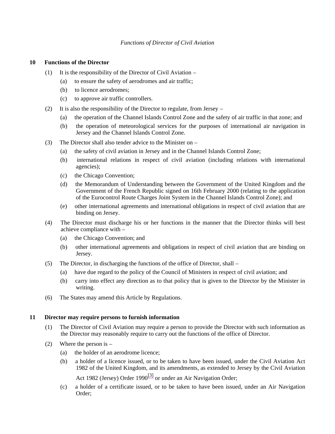#### *Functions of Director of Civil Aviation*

#### **10 Functions of the Director**

- (1) It is the responsibility of the Director of Civil Aviation
	- (a) to ensure the safety of aerodromes and air traffic;
	- (b) to licence aerodromes;
	- (c) to approve air traffic controllers.
- (2) It is also the responsibility of the Director to regulate, from Jersey
	- (a) the operation of the Channel Islands Control Zone and the safety of air traffic in that zone; and
	- (b) the operation of meteorological services for the purposes of international air navigation in Jersey and the Channel Islands Control Zone.
- (3) The Director shall also tender advice to the Minister on
	- (a) the safety of civil aviation in Jersey and in the Channel Islands Control Zone;
	- (b) international relations in respect of civil aviation (including relations with international agencies);
	- (c) the Chicago Convention;
	- (d) the Memorandum of Understanding between the Government of the United Kingdom and the Government of the French Republic signed on 16th February 2000 (relating to the application of the Eurocontrol Route Charges Joint System in the Channel Islands Control Zone); and
	- (e) other international agreements and international obligations in respect of civil aviation that are binding on Jersey.
- (4) The Director must discharge his or her functions in the manner that the Director thinks will best achieve compliance with –
	- (a) the Chicago Convention; and
	- (b) other international agreements and obligations in respect of civil aviation that are binding on Jersey.
- (5) The Director, in discharging the functions of the office of Director, shall
	- (a) have due regard to the policy of the Council of Ministers in respect of civil aviation; and
	- (b) carry into effect any direction as to that policy that is given to the Director by the Minister in writing.
- (6) The States may amend this Article by Regulations.

#### **11 Director may require persons to furnish information**

- (1) The Director of Civil Aviation may require a person to provide the Director with such information as the Director may reasonably require to carry out the functions of the office of Director.
- (2) Where the person is  $-$ 
	- (a) the holder of an aerodrome licence;
	- (b) a holder of a licence issued, or to be taken to have been issued, under the Civil Aviation Act 1982 of the United Kingdom, and its amendments, as extended to Jersey by the Civil Aviation Act 1982 (Jersey) Order 1990 $\frac{3}{3}$  or under an Air Navigation Order;
	- (c) a holder of a certificate issued, or to be taken to have been issued, under an Air Navigation Order;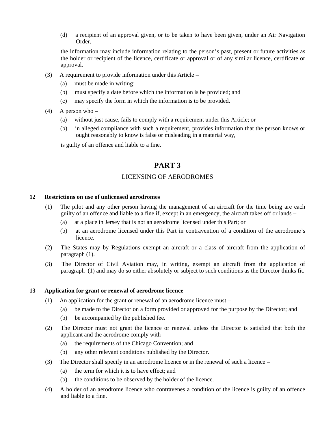(d) a recipient of an approval given, or to be taken to have been given, under an Air Navigation Order,

the information may include information relating to the person's past, present or future activities as the holder or recipient of the licence, certificate or approval or of any similar licence, certificate or approval.

- (3) A requirement to provide information under this Article
	- (a) must be made in writing;
	- (b) must specify a date before which the information is be provided; and
	- (c) may specify the form in which the information is to be provided.
- (4) A person who
	- (a) without just cause, fails to comply with a requirement under this Article; or
	- (b) in alleged compliance with such a requirement, provides information that the person knows or ought reasonably to know is false or misleading in a material way,

is guilty of an offence and liable to a fine.

#### **PART 3**

#### LICENSING OF AERODROMES

#### **12 Restrictions on use of unlicensed aerodromes**

- (1) The pilot and any other person having the management of an aircraft for the time being are each guilty of an offence and liable to a fine if, except in an emergency, the aircraft takes off or lands –
	- (a) at a place in Jersey that is not an aerodrome licensed under this Part; or
	- (b) at an aerodrome licensed under this Part in contravention of a condition of the aerodrome's licence.
- (2) The States may by Regulations exempt an aircraft or a class of aircraft from the application of paragraph (1).
- (3) The Director of Civil Aviation may, in writing, exempt an aircraft from the application of paragraph (1) and may do so either absolutely or subject to such conditions as the Director thinks fit.

#### **13 Application for grant or renewal of aerodrome licence**

- (1) An application for the grant or renewal of an aerodrome licence must
	- (a) be made to the Director on a form provided or approved for the purpose by the Director; and
	- (b) be accompanied by the published fee.
- (2) The Director must not grant the licence or renewal unless the Director is satisfied that both the applicant and the aerodrome comply with –
	- (a) the requirements of the Chicago Convention; and
	- (b) any other relevant conditions published by the Director.
- (3) The Director shall specify in an aerodrome licence or in the renewal of such a licence
	- (a) the term for which it is to have effect; and
	- (b) the conditions to be observed by the holder of the licence.
- (4) A holder of an aerodrome licence who contravenes a condition of the licence is guilty of an offence and liable to a fine.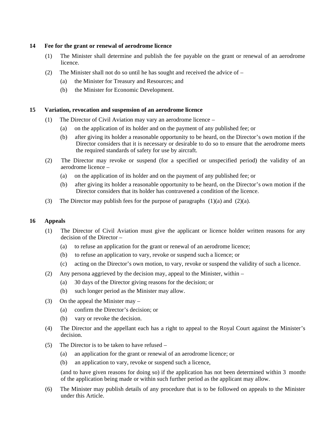#### **14 Fee for the grant or renewal of aerodrome licence**

- (1) The Minister shall determine and publish the fee payable on the grant or renewal of an aerodrome licence.
- (2) The Minister shall not do so until he has sought and received the advice of
	- (a) the Minister for Treasury and Resources; and
	- (b) the Minister for Economic Development.

#### **15 Variation, revocation and suspension of an aerodrome licence**

- (1) The Director of Civil Aviation may vary an aerodrome licence
	- (a) on the application of its holder and on the payment of any published fee; or
	- (b) after giving its holder a reasonable opportunity to be heard, on the Director's own motion if the Director considers that it is necessary or desirable to do so to ensure that the aerodrome meets the required standards of safety for use by aircraft.
- (2) The Director may revoke or suspend (for a specified or unspecified period) the validity of an aerodrome licence –
	- (a) on the application of its holder and on the payment of any published fee; or
	- (b) after giving its holder a reasonable opportunity to be heard, on the Director's own motion if the Director considers that its holder has contravened a condition of the licence.
- (3) The Director may publish fees for the purpose of paragraphs  $(1)(a)$  and  $(2)(a)$ .

#### **16 Appeals**

- (1) The Director of Civil Aviation must give the applicant or licence holder written reasons for any decision of the Director –
	- (a) to refuse an application for the grant or renewal of an aerodrome licence;
	- (b) to refuse an application to vary, revoke or suspend such a licence; or
	- (c) acting on the Director's own motion, to vary, revoke or suspend the validity of such a licence.
- (2) Any persona aggrieved by the decision may, appeal to the Minister, within
	- (a) 30 days of the Director giving reasons for the decision; or
	- (b) such longer period as the Minister may allow.
- (3) On the appeal the Minister may
	- (a) confirm the Director's decision; or
	- (b) vary or revoke the decision.
- (4) The Director and the appellant each has a right to appeal to the Royal Court against the Minister's decision.
- (5) The Director is to be taken to have refused
	- (a) an application for the grant or renewal of an aerodrome licence; or
	- (b) an application to vary, revoke or suspend such a licence,

(and to have given reasons for doing so) if the application has not been determined within 3 months of the application being made or within such further period as the applicant may allow.

(6) The Minister may publish details of any procedure that is to be followed on appeals to the Minister under this Article.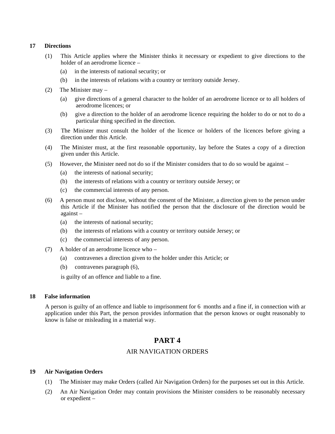#### **17 Directions**

- (1) This Article applies where the Minister thinks it necessary or expedient to give directions to the holder of an aerodrome licence –
	- (a) in the interests of national security; or
	- (b) in the interests of relations with a country or territory outside Jersey.
- (2) The Minister may
	- (a) give directions of a general character to the holder of an aerodrome licence or to all holders of aerodrome licences; or
	- (b) give a direction to the holder of an aerodrome licence requiring the holder to do or not to do a particular thing specified in the direction.
- (3) The Minister must consult the holder of the licence or holders of the licences before giving a direction under this Article.
- (4) The Minister must, at the first reasonable opportunity, lay before the States a copy of a direction given under this Article.
- (5) However, the Minister need not do so if the Minister considers that to do so would be against
	- (a) the interests of national security;
	- (b) the interests of relations with a country or territory outside Jersey; or
	- (c) the commercial interests of any person.
- (6) A person must not disclose, without the consent of the Minister, a direction given to the person under this Article if the Minister has notified the person that the disclosure of the direction would be against –
	- (a) the interests of national security;
	- (b) the interests of relations with a country or territory outside Jersey; or
	- (c) the commercial interests of any person.
- (7) A holder of an aerodrome licence who
	- (a) contravenes a direction given to the holder under this Article; or
	- (b) contravenes paragraph (6),

is guilty of an offence and liable to a fine.

#### **18 False information**

A person is guilty of an offence and liable to imprisonment for 6 months and a fine if, in connection with an application under this Part, the person provides information that the person knows or ought reasonably to know is false or misleading in a material way.

#### **PART 4**

#### AIR NAVIGATION ORDERS

#### **19 Air Navigation Orders**

- (1) The Minister may make Orders (called Air Navigation Orders) for the purposes set out in this Article.
- (2) An Air Navigation Order may contain provisions the Minister considers to be reasonably necessary or expedient –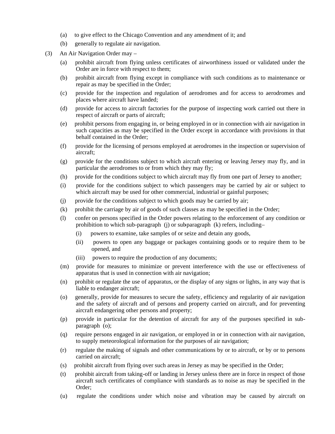- (a) to give effect to the Chicago Convention and any amendment of it; and
- (b) generally to regulate air navigation.
- (3) An Air Navigation Order may
	- (a) prohibit aircraft from flying unless certificates of airworthiness issued or validated under the Order are in force with respect to them;
	- (b) prohibit aircraft from flying except in compliance with such conditions as to maintenance or repair as may be specified in the Order;
	- (c) provide for the inspection and regulation of aerodromes and for access to aerodromes and places where aircraft have landed;
	- (d) provide for access to aircraft factories for the purpose of inspecting work carried out there in respect of aircraft or parts of aircraft;
	- (e) prohibit persons from engaging in, or being employed in or in connection with air navigation in such capacities as may be specified in the Order except in accordance with provisions in that behalf contained in the Order;
	- (f) provide for the licensing of persons employed at aerodromes in the inspection or supervision of aircraft;
	- (g) provide for the conditions subject to which aircraft entering or leaving Jersey may fly, and in particular the aerodromes to or from which they may fly;
	- (h) provide for the conditions subject to which aircraft may fly from one part of Jersey to another;
	- (i) provide for the conditions subject to which passengers may be carried by air or subject to which aircraft may be used for other commercial, industrial or gainful purposes;
	- (j) provide for the conditions subject to which goods may be carried by air;
	- (k) prohibit the carriage by air of goods of such classes as may be specified in the Order;
	- (l) confer on persons specified in the Order powers relating to the enforcement of any condition or prohibition to which sub-paragraph (j) or subparagraph (k) refers, including-
		- (i) powers to examine, take samples of or seize and detain any goods,
		- (ii) powers to open any baggage or packages containing goods or to require them to be opened, and
		- (iii) powers to require the production of any documents;
	- (m) provide for measures to minimize or prevent interference with the use or effectiveness of apparatus that is used in connection with air navigation;
	- (n) prohibit or regulate the use of apparatus, or the display of any signs or lights, in any way that is liable to endanger aircraft;
	- (o) generally, provide for measures to secure the safety, efficiency and regularity of air navigation and the safety of aircraft and of persons and property carried on aircraft, and for preventing aircraft endangering other persons and property;
	- (p) provide in particular for the detention of aircraft for any of the purposes specified in subparagraph (o);
	- (q) require persons engaged in air navigation, or employed in or in connection with air navigation, to supply meteorological information for the purposes of air navigation;
	- (r) regulate the making of signals and other communications by or to aircraft, or by or to persons carried on aircraft;
	- (s) prohibit aircraft from flying over such areas in Jersey as may be specified in the Order;
	- (t) prohibit aircraft from taking-off or landing in Jersey unless there are in force in respect of those aircraft such certificates of compliance with standards as to noise as may be specified in the Order;
	- (u) regulate the conditions under which noise and vibration may be caused by aircraft on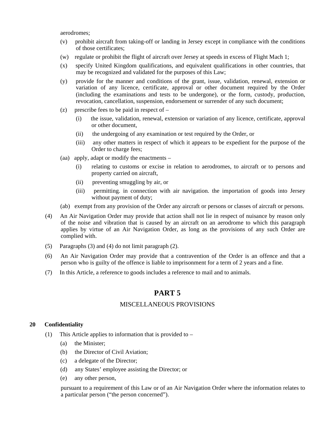aerodromes;

- (v) prohibit aircraft from taking-off or landing in Jersey except in compliance with the conditions of those certificates;
- (w) regulate or prohibit the flight of aircraft over Jersey at speeds in excess of Flight Mach 1;
- (x) specify United Kingdom qualifications, and equivalent qualifications in other countries, that may be recognized and validated for the purposes of this Law;
- (y) provide for the manner and conditions of the grant, issue, validation, renewal, extension or variation of any licence, certificate, approval or other document required by the Order (including the examinations and tests to be undergone), or the form, custody, production, revocation, cancellation, suspension, endorsement or surrender of any such document;
- (z) prescribe fees to be paid in respect of  $-$ 
	- (i) the issue, validation, renewal, extension or variation of any licence, certificate, approval or other document,
	- (ii) the undergoing of any examination or test required by the Order, or
	- (iii) any other matters in respect of which it appears to be expedient for the purpose of the Order to charge fees;
- (aa) apply, adapt or modify the enactments
	- (i) relating to customs or excise in relation to aerodromes, to aircraft or to persons and property carried on aircraft,
	- (ii) preventing smuggling by air, or
	- (iii) permitting. in connection with air navigation. the importation of goods into Jersey without payment of duty;
- (ab) exempt from any provision of the Order any aircraft or persons or classes of aircraft or persons.
- (4) An Air Navigation Order may provide that action shall not lie in respect of nuisance by reason only of the noise and vibration that is caused by an aircraft on an aerodrome to which this paragraph applies by virtue of an Air Navigation Order, as long as the provisions of any such Order are complied with.
- (5) Paragraphs (3) and (4) do not limit paragraph (2).
- (6) An Air Navigation Order may provide that a contravention of the Order is an offence and that a person who is guilty of the offence is liable to imprisonment for a term of 2 years and a fine.
- (7) In this Article, a reference to goods includes a reference to mail and to animals.

#### **PART 5**

#### MISCELLANEOUS PROVISIONS

#### **20 Confidentiality**

- (1) This Article applies to information that is provided to
	- (a) the Minister;
	- (b) the Director of Civil Aviation;
	- (c) a delegate of the Director;
	- (d) any States' employee assisting the Director; or
	- (e) any other person,

pursuant to a requirement of this Law or of an Air Navigation Order where the information relates to a particular person ("the person concerned").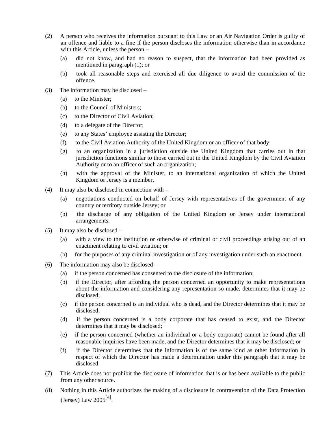- (2) A person who receives the information pursuant to this Law or an Air Navigation Order is guilty of an offence and liable to a fine if the person discloses the information otherwise than in accordance with this Article, unless the person –
	- (a) did not know, and had no reason to suspect, that the information had been provided as mentioned in paragraph (1); or
	- (b) took all reasonable steps and exercised all due diligence to avoid the commission of the offence.
- (3) The information may be disclosed
	- (a) to the Minister;
	- (b) to the Council of Ministers;
	- (c) to the Director of Civil Aviation;
	- (d) to a delegate of the Director;
	- (e) to any States' employee assisting the Director;
	- (f) to the Civil Aviation Authority of the United Kingdom or an officer of that body;
	- (g) to an organization in a jurisdiction outside the United Kingdom that carries out in that jurisdiction functions similar to those carried out in the United Kingdom by the Civil Aviation Authority or to an officer of such an organization;
	- (h) with the approval of the Minister, to an international organization of which the United Kingdom or Jersey is a member.
- (4) It may also be disclosed in connection with
	- (a) negotiations conducted on behalf of Jersey with representatives of the government of any country or territory outside Jersey; or
	- (b) the discharge of any obligation of the United Kingdom or Jersey under international arrangements.
- (5) It may also be disclosed
	- (a) with a view to the institution or otherwise of criminal or civil proceedings arising out of an enactment relating to civil aviation; or
	- (b) for the purposes of any criminal investigation or of any investigation under such an enactment.
- (6) The information may also be disclosed
	- (a) if the person concerned has consented to the disclosure of the information;
	- (b) if the Director, after affording the person concerned an opportunity to make representations about the information and considering any representation so made, determines that it may be disclosed;
	- (c) if the person concerned is an individual who is dead, and the Director determines that it may be disclosed;
	- (d) if the person concerned is a body corporate that has ceased to exist, and the Director determines that it may be disclosed;
	- (e) if the person concerned (whether an individual or a body corporate) cannot be found after all reasonable inquiries have been made, and the Director determines that it may be disclosed; or
	- (f) if the Director determines that the information is of the same kind as other information in respect of which the Director has made a determination under this paragraph that it may be disclosed.
- (7) This Article does not prohibit the disclosure of information that is or has been available to the public from any other source.
- (8) Nothing in this Article authorizes the making of a disclosure in contravention of the Data Protection (Jersey) Law  $2005^{[4]}$ .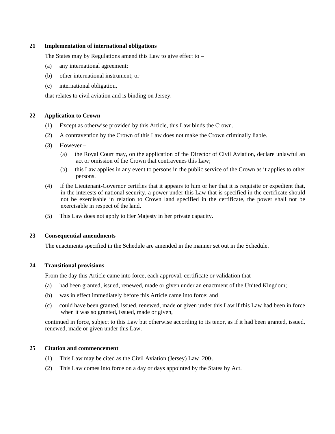#### **21 Implementation of international obligations**

The States may by Regulations amend this Law to give effect to –

- (a) any international agreement;
- (b) other international instrument; or
- (c) international obligation,

that relates to civil aviation and is binding on Jersey.

#### **22 Application to Crown**

- (1) Except as otherwise provided by this Article, this Law binds the Crown.
- (2) A contravention by the Crown of this Law does not make the Crown criminally liable.
- (3) However
	- (a) the Royal Court may, on the application of the Director of Civil Aviation, declare unlawful an act or omission of the Crown that contravenes this Law;
	- (b) this Law applies in any event to persons in the public service of the Crown as it applies to other persons.
- (4) If the Lieutenant-Governor certifies that it appears to him or her that it is requisite or expedient that, in the interests of national security, a power under this Law that is specified in the certificate should not be exercisable in relation to Crown land specified in the certificate, the power shall not be exercisable in respect of the land.
- (5) This Law does not apply to Her Majesty in her private capacity.

#### **23 Consequential amendments**

The enactments specified in the Schedule are amended in the manner set out in the Schedule.

#### **24 Transitional provisions**

From the day this Article came into force, each approval, certificate or validation that –

- (a) had been granted, issued, renewed, made or given under an enactment of the United Kingdom;
- (b) was in effect immediately before this Article came into force; and
- (c) could have been granted, issued, renewed, made or given under this Law if this Law had been in force when it was so granted, issued, made or given,

continued in force, subject to this Law but otherwise according to its tenor, as if it had been granted, issued, renewed, made or given under this Law.

#### **25 Citation and commencement**

- (1) This Law may be cited as the Civil Aviation (Jersey) Law 200-.
- (2) This Law comes into force on a day or days appointed by the States by Act.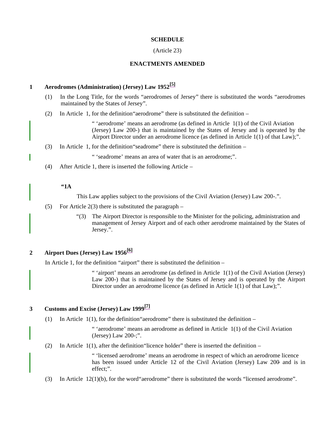#### **SCHEDULE**

#### (Article 23)

#### **ENACTMENTS AMENDED**

#### **1 Aerodromes (Administration) (Jersey) Law 1952[5]**

- (1) In the Long Title, for the words "aerodromes of Jersey" there is substituted the words "aerodromes maintained by the States of Jersey".
- (2) In Article 1, for the definition"aerodrome" there is substituted the definition –

" 'aerodrome' means an aerodrome (as defined in Article 1(1) of the Civil Aviation (Jersey) Law 200-) that is maintained by the States of Jersey and is operated by the Airport Director under an aerodrome licence (as defined in Article 1(1) of that Law);".

(3) In Article 1, for the definition"seadrome" there is substituted the definition –

" 'seadrome' means an area of water that is an aerodrome;".

(4) After Article 1, there is inserted the following Article –

#### **"1A**

This Law applies subject to the provisions of the Civil Aviation (Jersey) Law 200-.".

- (5) For Article 2(3) there is substituted the paragraph  $-$ 
	- "(3) The Airport Director is responsible to the Minister for the policing, administration and management of Jersey Airport and of each other aerodrome maintained by the States of Jersey.".

#### **2 Airport Dues (Jersey) Law 1956[6]**

In Article 1, for the definition "airport" there is substituted the definition –

" 'airport' means an aerodrome (as defined in Article 1(1) of the Civil Aviation (Jersey) Law 200-) that is maintained by the States of Jersey and is operated by the Airport Director under an aerodrome licence (as defined in Article 1(1) of that Law);".

### **3 Customs and Excise (Jersey) Law 1999[7]**

(1) In Article  $1(1)$ , for the definition "aerodrome" there is substituted the definition –

" 'aerodrome' means an aerodrome as defined in Article  $1(1)$  of the Civil Aviation (Jersey) Law 200-;".

(2) In Article  $1(1)$ , after the definition "licence holder" there is inserted the definition –

" 'licensed aerodrome' means an aerodrome in respect of which an aerodrome licence has been issued under Article 12 of the Civil Aviation (Jersey) Law 200- and is in effect;".

(3) In Article 12(1)(b), for the word"aerodrome" there is substituted the words "licensed aerodrome".